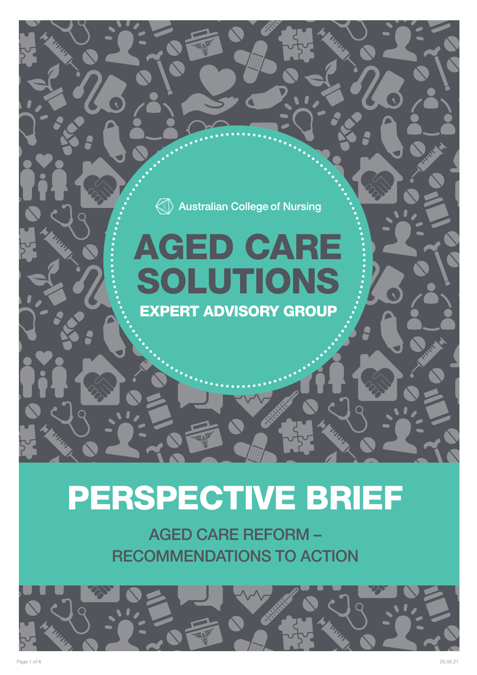### $\langle\!\!\!\langle\;\!\!\!\langle\rangle\rangle$  Australian College of Nursing

## AGED CARE SOLUTIONS EXPERT ADVISORY GROUP

# PERSPECTIVE BRIEF

AGED CARE REFORM – RECOMMENDATIONS TO ACTION

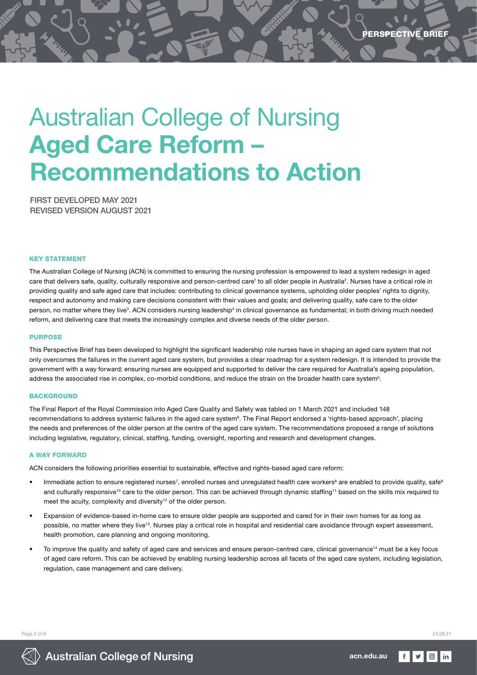## Australian College of Nursing Aged Care Reform – Recommendations to Action

FIRST DEVELOPED MAY 2021 REVISED VERSION AUGUST 2021

#### KEY STATEMENT

The Australian College of Nursing (ACN) is committed to ensuring the nursing profession is empowered to lead a system redesign in aged care that delivers safe, quality, culturally responsive and person-centred care<sup>1</sup> to all older people in Australia<sup>2</sup>. Nurses have a critical role in providing quality and safe aged care that includes: contributing to clinical governance systems, upholding older peoples' rights to dignity, respect and autonomy and making care decisions consistent with their values and goals; and delivering quality, safe care to the older person, no matter where they live<sup>3</sup>. ACN considers nursing leadership<sup>4</sup> in clinical governance as fundamental; in both driving much needed reform, and delivering care that meets the increasingly complex and diverse needs of the older person.

#### **PURPOSE**

This Perspective Brief has been developed to highlight the significant leadership role nurses have in shaping an aged care system that not only overcomes the failures in the current aged care system, but provides a clear roadmap for a system redesign. It is intended to provide the government with a way forward; ensuring nurses are equipped and supported to deliver the care required for Australia's ageing population, address the associated rise in complex, co-morbid conditions, and reduce the strain on the broader health care system<sup>5</sup>.

#### **BACKGROUND**

The Final Report of the Royal Commission into Aged Care Quality and Safety was tabled on 1 March 2021 and included 148 recommendations to address systemic failures in the aged care system<sup>6</sup>. The Final Report endorsed a 'rights-based approach', placing the needs and preferences of the older person at the centre of the aged care system. The recommendations proposed a range of solutions including legislative, regulatory, clinical, staffing, funding, oversight, reporting and research and development changes.

#### A WAY FORWARD

ACN considers the following priorities essential to sustainable, effective and rights-based aged care reform:

- Immediate action to ensure registered nurses<sup>7</sup>, enrolled nurses and unregulated health care workers<sup>8</sup> are enabled to provide quality, safe<sup>s</sup> and culturally responsive<sup>10</sup> care to the older person. This can be achieved through dynamic staffing<sup>11</sup> based on the skills mix required to meet the acuity, complexity and diversity<sup>12</sup> of the older person.
- Expansion of evidence-based in-home care to ensure older people are supported and cared for in their own homes for as long as possible, no matter where they live<sup>13</sup>. Nurses play a critical role in hospital and residential care avoidance through expert assessment, health promotion, care planning and ongoing monitoring.
- To improve the quality and safety of aged care and services and ensure person-centred care, clinical governance<sup>14</sup> must be a key focus of aged care reform. This can be achieved by enabling nursing leadership across all facets of the aged care system, including legislation, regulation, case management and care delivery.

Page 2 of 6 24.08.21

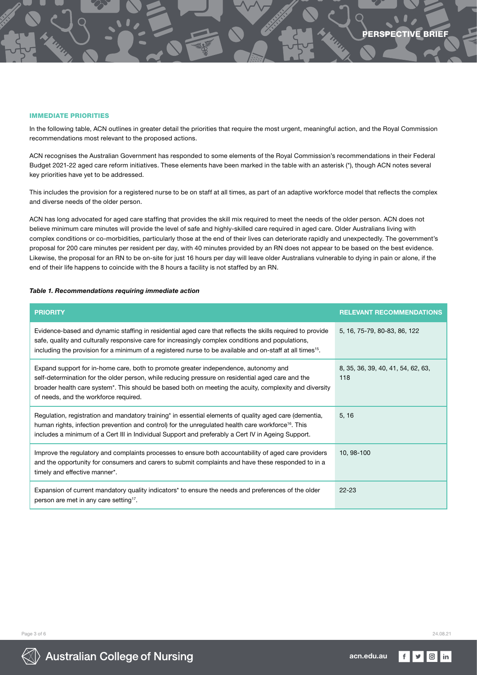#### IMMEDIATE PRIORITIES

In the following table, ACN outlines in greater detail the priorities that require the most urgent, meaningful action, and the Royal Commission recommendations most relevant to the proposed actions.

ACN recognises the Australian Government has responded to some elements of the Royal Commission's recommendations in their Federal Budget 2021-22 aged care reform initiatives. These elements have been marked in the table with an asterisk (\*), though ACN notes several key priorities have yet to be addressed.

This includes the provision for a registered nurse to be on staff at all times, as part of an adaptive workforce model that reflects the complex and diverse needs of the older person.

ACN has long advocated for aged care staffing that provides the skill mix required to meet the needs of the older person. ACN does not believe minimum care minutes will provide the level of safe and highly-skilled care required in aged care. Older Australians living with complex conditions or co-morbidities, particularly those at the end of their lives can deteriorate rapidly and unexpectedly. The government's proposal for 200 care minutes per resident per day, with 40 minutes provided by an RN does not appear to be based on the best evidence. Likewise, the proposal for an RN to be on-site for just 16 hours per day will leave older Australians vulnerable to dying in pain or alone, if the end of their life happens to coincide with the 8 hours a facility is not staffed by an RN.

#### *Table 1. Recommendations requiring immediate action*

| <b>PRIORITY</b>                                                                                                                                                                                                                                                                                                                                          | <b>RELEVANT RECOMMENDATIONS</b>           |
|----------------------------------------------------------------------------------------------------------------------------------------------------------------------------------------------------------------------------------------------------------------------------------------------------------------------------------------------------------|-------------------------------------------|
| Evidence-based and dynamic staffing in residential aged care that reflects the skills required to provide<br>safe, quality and culturally responsive care for increasingly complex conditions and populations,<br>including the provision for a minimum of a registered nurse to be available and on-staff at all times <sup>15</sup> .                  | 5, 16, 75-79, 80-83, 86, 122              |
| Expand support for in-home care, both to promote greater independence, autonomy and<br>self-determination for the older person, while reducing pressure on residential aged care and the<br>broader health care system <sup>*</sup> . This should be based both on meeting the acuity, complexity and diversity<br>of needs, and the workforce required. | 8, 35, 36, 39, 40, 41, 54, 62, 63,<br>118 |
| Regulation, registration and mandatory training <sup>*</sup> in essential elements of quality aged care (dementia,<br>human rights, infection prevention and control) for the unregulated health care workforce <sup>16</sup> . This<br>includes a minimum of a Cert III in Individual Support and preferably a Cert IV in Ageing Support.               | 5, 16                                     |
| Improve the regulatory and complaints processes to ensure both accountability of aged care providers<br>and the opportunity for consumers and carers to submit complaints and have these responded to in a<br>timely and effective manner*.                                                                                                              | 10, 98-100                                |
| Expansion of current mandatory quality indicators <sup>*</sup> to ensure the needs and preferences of the older<br>person are met in any care setting <sup>17</sup> .                                                                                                                                                                                    | $22 - 23$                                 |



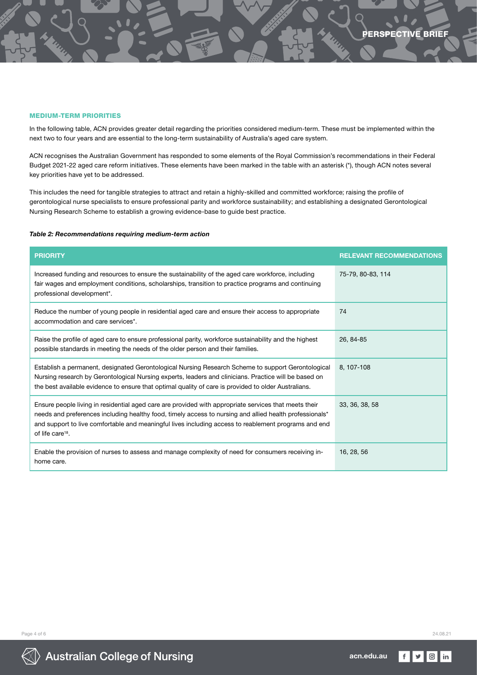#### MEDIUM-TERM PRIORITIES

In the following table, ACN provides greater detail regarding the priorities considered medium-term. These must be implemented within the next two to four years and are essential to the long-term sustainability of Australia's aged care system.

ACN recognises the Australian Government has responded to some elements of the Royal Commission's recommendations in their Federal Budget 2021-22 aged care reform initiatives. These elements have been marked in the table with an asterisk (\*), though ACN notes several key priorities have yet to be addressed.

This includes the need for tangible strategies to attract and retain a highly-skilled and committed workforce; raising the profile of gerontological nurse specialists to ensure professional parity and workforce sustainability; and establishing a designated Gerontological Nursing Research Scheme to establish a growing evidence-base to guide best practice.

#### *Table 2: Recommendations requiring medium-term action*

| <b>PRIORITY</b>                                                                                                                                                                                                                                                                                                                                          | <b>RELEVANT RECOMMENDATIONS</b> |
|----------------------------------------------------------------------------------------------------------------------------------------------------------------------------------------------------------------------------------------------------------------------------------------------------------------------------------------------------------|---------------------------------|
| Increased funding and resources to ensure the sustainability of the aged care workforce, including<br>fair wages and employment conditions, scholarships, transition to practice programs and continuing<br>professional development*.                                                                                                                   | 75-79, 80-83, 114               |
| Reduce the number of young people in residential aged care and ensure their access to appropriate<br>accommodation and care services*.                                                                                                                                                                                                                   | 74                              |
| Raise the profile of aged care to ensure professional parity, workforce sustainability and the highest<br>possible standards in meeting the needs of the older person and their families.                                                                                                                                                                | 26, 84-85                       |
| Establish a permanent, designated Gerontological Nursing Research Scheme to support Gerontological<br>Nursing research by Gerontological Nursing experts, leaders and clinicians. Practice will be based on<br>the best available evidence to ensure that optimal quality of care is provided to older Australians.                                      | 8.107-108                       |
| Ensure people living in residential aged care are provided with appropriate services that meets their<br>needs and preferences including healthy food, timely access to nursing and allied health professionals*<br>and support to live comfortable and meaningful lives including access to reablement programs and end<br>of life care <sup>18</sup> . | 33, 36, 38, 58                  |
| Enable the provision of nurses to assess and manage complexity of need for consumers receiving in-<br>home care.                                                                                                                                                                                                                                         | 16, 28, 56                      |

Page 4 of 6 24.08.21



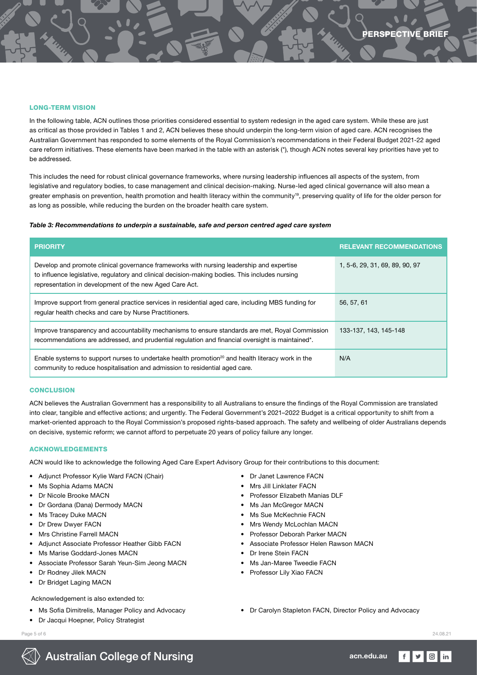#### LONG-TERM VISION

In the following table, ACN outlines those priorities considered essential to system redesign in the aged care system. While these are just as critical as those provided in Tables 1 and 2, ACN believes these should underpin the long-term vision of aged care. ACN recognises the Australian Government has responded to some elements of the Royal Commission's recommendations in their Federal Budget 2021-22 aged care reform initiatives. These elements have been marked in the table with an asterisk (\*), though ACN notes several key priorities have yet to be addressed.

This includes the need for robust clinical governance frameworks, where nursing leadership influences all aspects of the system, from legislative and regulatory bodies, to case management and clinical decision-making. Nurse-led aged clinical governance will also mean a greater emphasis on prevention, health promotion and health literacy within the community<sup>19</sup>, preserving quality of life for the older person for as long as possible, while reducing the burden on the broader health care system.

#### *Table 3: Recommendations to underpin a sustainable, safe and person centred aged care system*

| <b>PRIORITY</b>                                                                                                                                                                                                                                        | <b>RELEVANT RECOMMENDATIONS</b> |
|--------------------------------------------------------------------------------------------------------------------------------------------------------------------------------------------------------------------------------------------------------|---------------------------------|
| Develop and promote clinical governance frameworks with nursing leadership and expertise<br>to influence legislative, regulatory and clinical decision-making bodies. This includes nursing<br>representation in development of the new Aged Care Act. | 1, 5-6, 29, 31, 69, 89, 90, 97  |
| Improve support from general practice services in residential aged care, including MBS funding for<br>regular health checks and care by Nurse Practitioners.                                                                                           | 56, 57, 61                      |
| Improve transparency and accountability mechanisms to ensure standards are met, Royal Commission<br>recommendations are addressed, and prudential regulation and financial oversight is maintained*.                                                   | 133-137, 143, 145-148           |
| Enable systems to support nurses to undertake health promotion <sup>20</sup> and health literacy work in the<br>community to reduce hospitalisation and admission to residential aged care.                                                            | N/A                             |

#### CONCLUSION

ACN believes the Australian Government has a responsibility to all Australians to ensure the findings of the Royal Commission are translated into clear, tangible and effective actions; and urgently. The Federal Government's 2021–2022 Budget is a critical opportunity to shift from a market-oriented approach to the Royal Commission's proposed rights-based approach. The safety and wellbeing of older Australians depends on decisive, systemic reform; we cannot afford to perpetuate 20 years of policy failure any longer.

#### ACKNOWLEDGEMENTS

ACN would like to acknowledge the following Aged Care Expert Advisory Group for their contributions to this document:

- Adjunct Professor Kylie Ward FACN (Chair)
- Ms Sophia Adams MACN
- Dr Nicole Brooke MACN
- Dr Gordana (Dana) Dermody MACN
- Ms Tracey Duke MACN
- Dr Drew Dwyer FACN
- Mrs Christine Farrell MACN
- Adjunct Associate Professor Heather Gibb FACN
- Ms Marise Goddard-Jones MACN
- Associate Professor Sarah Yeun-Sim Jeong MACN
- Dr Rodney Jilek MACN
- Dr Bridget Laging MACN

#### Acknowledgement is also extended to:

- Ms Sofia Dimitrelis, Manager Policy and Advocacy
- Dr Jacqui Hoepner, Policy Strategist
- Page 5 of 6 24.08.21
- Dr Janet Lawrence FACN
- Mrs Jill Linklater FACN
- Professor Elizabeth Manias DLF
- Ms Jan McGregor MACN
- Ms Sue McKechnie FACN
- Mrs Wendy McLochlan MACN
- Professor Deborah Parker MACN
	- Associate Professor Helen Rawson MACN
	- Dr Irene Stein FACN
	- Ms Jan-Maree Tweedie FACN
	- Professor Lily Xiao FACN
	- Dr Carolyn Stapleton FACN, Director Policy and Advocacy

in



**Australian College of Nursing**